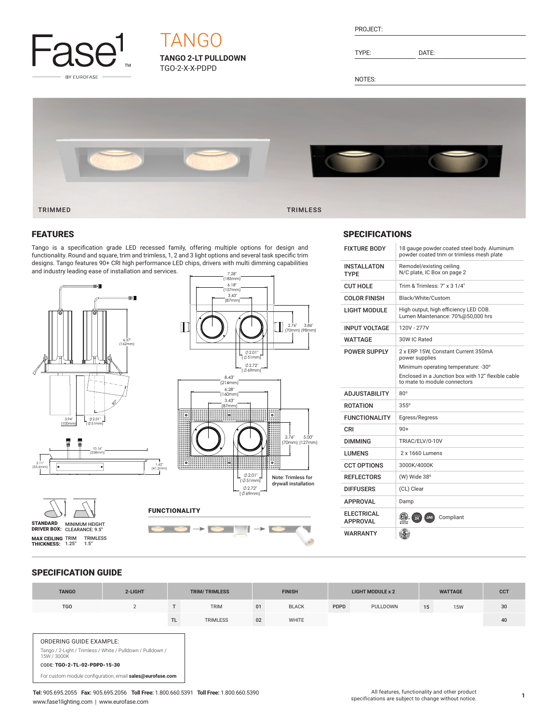

# **TANGO 2-LT PULLDOWN TANGO**

TGO-2-X-X-PDPD

PROJECT:

TYPE: DATE:

NOTES:



5.00"

 $\overline{\phantom{0}}$  $\mathscr{O}$ 

### FEATURES

Tango is a specification grade LED recessed family, offering multiple options for design and functionality. Round and square, trim and trimless, 1, 2 and 3 light options and several task specific trim designs. Tango features 90+ CRI high performance LED chips, drivers with multi dimming capabilities and industry leading ease of installation and services.



### SPECIFICATIONS

| <b>FIXTURE BODY</b>                  | 18 gauge powder coated steel body. Aluminum<br>powder coated trim or trimless mesh plate |  |  |  |  |  |
|--------------------------------------|------------------------------------------------------------------------------------------|--|--|--|--|--|
| <b>INSTALLATON</b><br><b>TYPF</b>    | Remodel/existing ceiling<br>N/C plate, IC Box on page 2                                  |  |  |  |  |  |
| <b>CUT HOLE</b>                      | Trim & Trimless: 7" x 3 1/4"                                                             |  |  |  |  |  |
| COLOR FINISH                         | Black/White/Custom                                                                       |  |  |  |  |  |
| LIGHT MODULE                         | High output, high efficiency LED COB.<br>Lumen Maintenance: 70%@50,000 hrs               |  |  |  |  |  |
| <b>INPUT VOLTAGE</b>                 | 120V - 277V                                                                              |  |  |  |  |  |
| WATTAGE                              | 30W IC Rated                                                                             |  |  |  |  |  |
| <b>POWER SUPPLY</b>                  | 2 x ERP 15W. Constant Current 350mA<br>power supplies                                    |  |  |  |  |  |
|                                      | Minimum operating temperature: -30°                                                      |  |  |  |  |  |
|                                      | Enclosed in a Junction box with 12" flexible cable<br>to mate to module connectors       |  |  |  |  |  |
| <b>ADJUSTABILITY</b>                 | $80^\circ$                                                                               |  |  |  |  |  |
| <b>ROTATION</b>                      | $355^\circ$                                                                              |  |  |  |  |  |
| <b>FUNCTIONALITY</b>                 | Egress/Regress                                                                           |  |  |  |  |  |
| CRI                                  | $90+$                                                                                    |  |  |  |  |  |
| <b>DIMMING</b>                       | TRIAC/ELV/0-10V                                                                          |  |  |  |  |  |
| <b>I UMFNS</b>                       | $2 \times 1660$ Lumens                                                                   |  |  |  |  |  |
| <b>CCT OPTIONS</b>                   | 3000K/4000K                                                                              |  |  |  |  |  |
| REFLECTORS                           | (W) Wide $38^\circ$                                                                      |  |  |  |  |  |
| <b>DIFFUSERS</b>                     | (CL) Clear                                                                               |  |  |  |  |  |
| <b>APPROVAL</b>                      | Damp                                                                                     |  |  |  |  |  |
| <b>ELECTRICAL</b><br><b>APPROVAL</b> | $^{111}_{24}$<br>Compliant<br>KE IV<br>JA8                                               |  |  |  |  |  |
| <b>WARRANTY</b>                      |                                                                                          |  |  |  |  |  |

## SPECIFICATION GUIDE

| <b>TANGO</b>                                                           | 2-LIGHT                                                    | <b>TRIM/TRIMLESS</b> |                 | <b>FINISH</b> |              | <b>LIGHT MODULE x 2</b> |          | <b>WATTAGE</b> |            | <b>CCT</b> |
|------------------------------------------------------------------------|------------------------------------------------------------|----------------------|-----------------|---------------|--------------|-------------------------|----------|----------------|------------|------------|
| <b>TGO</b>                                                             | $\overline{2}$                                             |                      | <b>TRIM</b>     | 01            | <b>BLACK</b> | PDPD                    | PULLDOWN | 15             | <b>15W</b> | 30         |
|                                                                        |                                                            | TL                   | <b>TRIMLESS</b> | 02            | <b>WHITE</b> |                         |          |                |            | 40         |
| ORDERING GUIDE EXAMPLE:<br>15W / 3000K<br>CODE: TGO-2-TL-02-PDPD-15-30 | Tango / 2-Light / Trimless / White / Pulldown / Pulldown / |                      |                 |               |              |                         |          |                |            |            |
|                                                                        | For custom module configuration, email sales@eurofase.com  |                      |                 |               |              |                         |          |                |            |            |